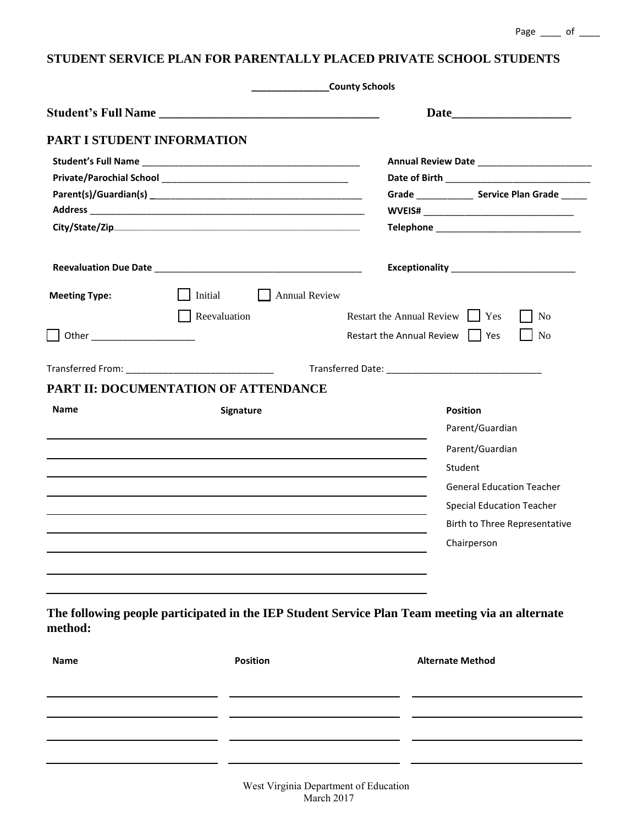| Grade Service Plan Grade<br>Initial<br>    Annual Review<br>Restart the Annual Review  <br>Yes<br>Reevaluation<br>N <sub>0</sub><br>Restart the Annual Review     Yes<br>N <sub>0</sub><br>PART II: DOCUMENTATION OF ATTENDANCE<br><b>Position</b><br><b>Signature</b><br>Parent/Guardian<br>Parent/Guardian |
|--------------------------------------------------------------------------------------------------------------------------------------------------------------------------------------------------------------------------------------------------------------------------------------------------------------|
|                                                                                                                                                                                                                                                                                                              |
|                                                                                                                                                                                                                                                                                                              |
|                                                                                                                                                                                                                                                                                                              |
|                                                                                                                                                                                                                                                                                                              |
|                                                                                                                                                                                                                                                                                                              |
|                                                                                                                                                                                                                                                                                                              |
|                                                                                                                                                                                                                                                                                                              |
|                                                                                                                                                                                                                                                                                                              |
|                                                                                                                                                                                                                                                                                                              |
|                                                                                                                                                                                                                                                                                                              |
|                                                                                                                                                                                                                                                                                                              |
|                                                                                                                                                                                                                                                                                                              |
|                                                                                                                                                                                                                                                                                                              |
|                                                                                                                                                                                                                                                                                                              |
|                                                                                                                                                                                                                                                                                                              |
|                                                                                                                                                                                                                                                                                                              |
| Student                                                                                                                                                                                                                                                                                                      |
| <b>General Education Teacher</b>                                                                                                                                                                                                                                                                             |
| <b>Special Education Teacher</b>                                                                                                                                                                                                                                                                             |
| Birth to Three Representative                                                                                                                                                                                                                                                                                |
|                                                                                                                                                                                                                                                                                                              |
| Chairperson                                                                                                                                                                                                                                                                                                  |
|                                                                                                                                                                                                                                                                                                              |
| The following people participated in the IEP Student Service Plan Team meeting via an alternate                                                                                                                                                                                                              |
| <b>Position</b><br><b>Alternate Method</b>                                                                                                                                                                                                                                                                   |
|                                                                                                                                                                                                                                                                                                              |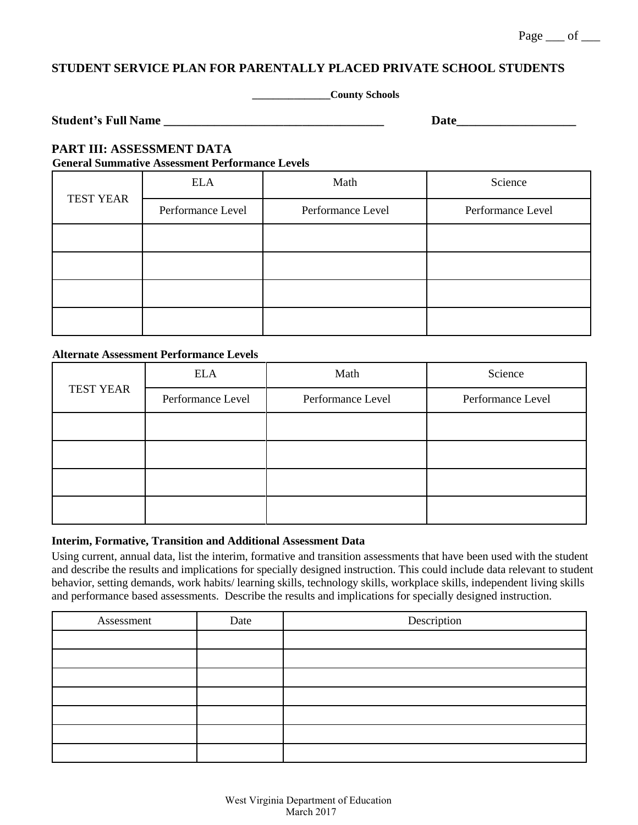## $Page \_\ of \_\$

# **STUDENT SERVICE PLAN FOR PARENTALLY PLACED PRIVATE SCHOOL STUDENTS**

**\_\_\_\_\_\_\_\_\_\_\_\_\_\_\_County Schools**

| <b>Student's Full Name</b> |  |
|----------------------------|--|
|                            |  |

**Studient Name** 

### **PART III: ASSESSMENT DATA General Summative Assessment Performance Levels**

| <b>TEST YEAR</b> | <b>ELA</b>        | Math              | Science           |
|------------------|-------------------|-------------------|-------------------|
|                  | Performance Level | Performance Level | Performance Level |
|                  |                   |                   |                   |
|                  |                   |                   |                   |
|                  |                   |                   |                   |
|                  |                   |                   |                   |

## **Alternate Assessment Performance Levels**

|                  | <b>ELA</b>        | Math              | Science           |
|------------------|-------------------|-------------------|-------------------|
| <b>TEST YEAR</b> | Performance Level | Performance Level | Performance Level |
|                  |                   |                   |                   |
|                  |                   |                   |                   |
|                  |                   |                   |                   |
|                  |                   |                   |                   |

## **Interim, Formative, Transition and Additional Assessment Data**

Using current, annual data, list the interim, formative and transition assessments that have been used with the student and describe the results and implications for specially designed instruction. This could include data relevant to student behavior, setting demands, work habits/ learning skills, technology skills, workplace skills, independent living skills and performance based assessments. Describe the results and implications for specially designed instruction.

| Assessment | Date | Description |
|------------|------|-------------|
|            |      |             |
|            |      |             |
|            |      |             |
|            |      |             |
|            |      |             |
|            |      |             |
|            |      |             |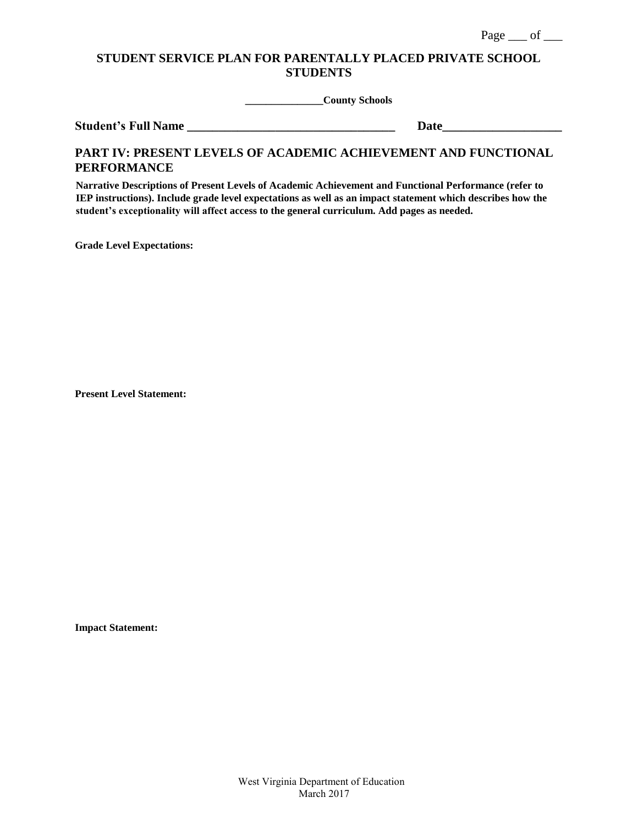**\_\_\_\_\_\_\_\_\_\_\_\_\_\_\_County Schools**

**Student's Full Name \_\_\_\_\_\_\_\_\_\_\_\_\_\_\_\_\_\_\_\_\_\_\_\_\_\_\_\_\_\_\_\_\_ Date\_\_\_\_\_\_\_\_\_\_\_\_\_\_\_\_\_\_\_**

## **PART IV: PRESENT LEVELS OF ACADEMIC ACHIEVEMENT AND FUNCTIONAL PERFORMANCE**

**Narrative Descriptions of Present Levels of Academic Achievement and Functional Performance (refer to IEP instructions). Include grade level expectations as well as an impact statement which describes how the student's exceptionality will affect access to the general curriculum. Add pages as needed.** 

**Grade Level Expectations:**

**Present Level Statement:**

**Impact Statement:**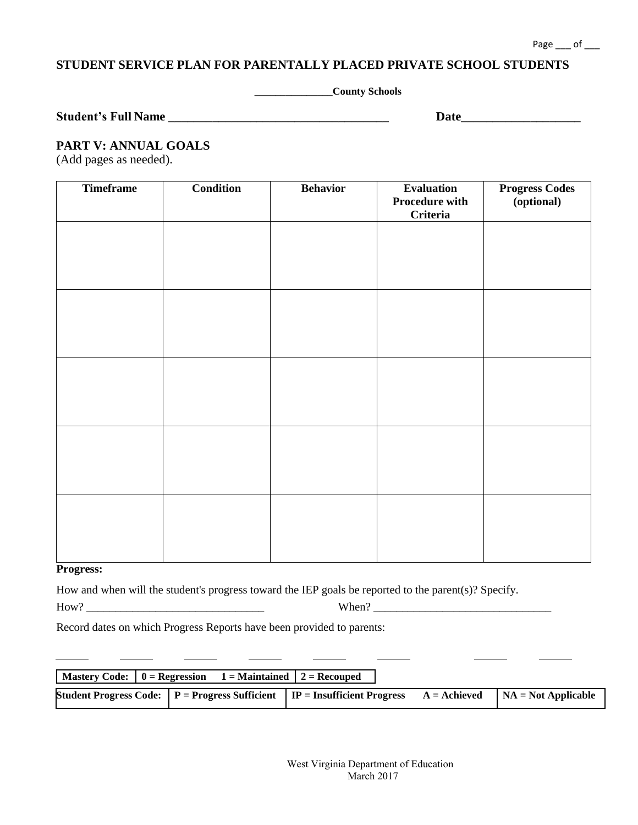#### Page \_\_\_ of \_\_\_

## **STUDENT SERVICE PLAN FOR PARENTALLY PLACED PRIVATE SCHOOL STUDENTS**

**\_\_\_\_\_\_\_\_\_\_\_\_\_\_\_County Schools**

| <b>Student's Full Name</b> |  |
|----------------------------|--|
|----------------------------|--|

**Date\_\_\_\_\_\_\_\_\_\_\_\_\_\_\_\_\_\_\_\_\_\_\_\_\_\_** 

## **PART V: ANNUAL GOALS**

(Add pages as needed).

| <b>Timeframe</b> | <b>Condition</b> | <b>Behavior</b> | <b>Evaluation</b><br><b>Procedure with</b><br><b>Criteria</b> | <b>Progress Codes</b><br>(optional) |
|------------------|------------------|-----------------|---------------------------------------------------------------|-------------------------------------|
|                  |                  |                 |                                                               |                                     |
|                  |                  |                 |                                                               |                                     |
|                  |                  |                 |                                                               |                                     |
|                  |                  |                 |                                                               |                                     |
|                  |                  |                 |                                                               |                                     |
|                  |                  |                 |                                                               |                                     |
|                  |                  |                 |                                                               |                                     |
|                  |                  |                 |                                                               |                                     |
|                  |                  |                 |                                                               |                                     |
|                  |                  |                 |                                                               |                                     |

### **Progress:**

How and when will the student's progress toward the IEP goals be reported to the parent(s)? Specify.

How? \_\_\_\_\_\_\_\_\_\_\_\_\_\_\_\_\_\_\_\_\_\_\_\_\_\_\_\_\_\_\_ When? \_\_\_\_\_\_\_\_\_\_\_\_\_\_\_\_\_\_\_\_\_\_\_\_\_\_\_\_\_\_\_

Record dates on which Progress Reports have been provided to parents:

| $\vert$ Mastery Code: $\vert$ 0 = Regression | $1 =$ Maintained $2 =$ Recouped                                                                                   |  |
|----------------------------------------------|-------------------------------------------------------------------------------------------------------------------|--|
|                                              | Student Progress Code: $P =$ Progress Sufficient $P =$ Insufficient Progress $A =$ Achieved $NA =$ Not Applicable |  |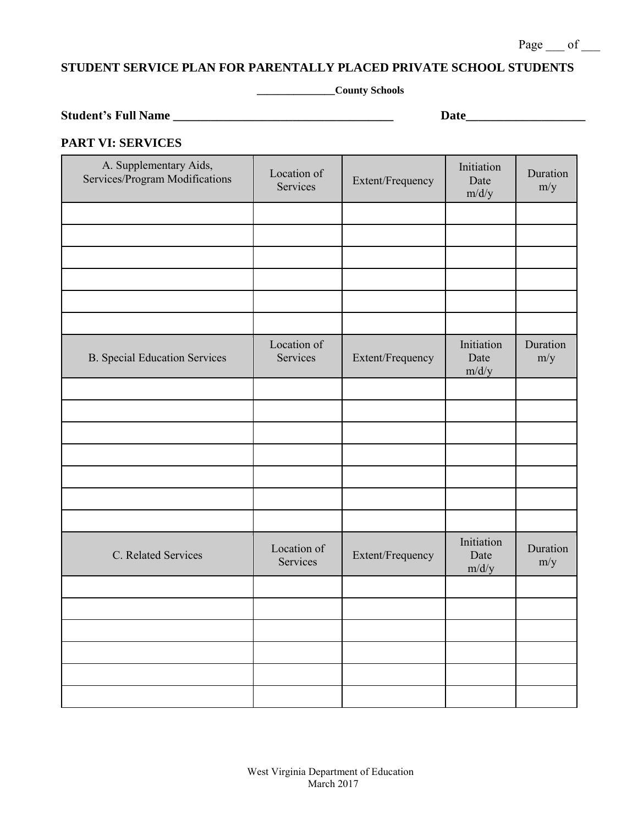**\_\_\_\_\_\_\_\_\_\_\_\_\_\_\_County Schools**

**Student's Full Name \_\_\_\_\_\_\_\_\_\_\_\_\_\_\_\_\_\_\_\_\_\_\_\_\_\_\_\_\_\_\_\_\_\_\_ Date\_\_\_\_\_\_\_\_\_\_\_\_\_\_\_\_\_\_\_**

## **PART VI: SERVICES**

| A. Supplementary Aids,<br>Services/Program Modifications | Location of<br><b>Services</b> | Extent/Frequency | Initiation<br>Date<br>m/d/y | Duration<br>m/y |
|----------------------------------------------------------|--------------------------------|------------------|-----------------------------|-----------------|
|                                                          |                                |                  |                             |                 |
|                                                          |                                |                  |                             |                 |
|                                                          |                                |                  |                             |                 |
|                                                          |                                |                  |                             |                 |
|                                                          |                                |                  |                             |                 |
|                                                          |                                |                  |                             |                 |
| <b>B.</b> Special Education Services                     | Location of<br>Services        | Extent/Frequency | Initiation<br>Date<br>m/d/y | Duration<br>m/y |
|                                                          |                                |                  |                             |                 |
|                                                          |                                |                  |                             |                 |
|                                                          |                                |                  |                             |                 |
|                                                          |                                |                  |                             |                 |
|                                                          |                                |                  |                             |                 |
|                                                          |                                |                  |                             |                 |
|                                                          |                                |                  |                             |                 |
| C. Related Services                                      | Location of<br>Services        | Extent/Frequency | Initiation<br>Date<br>m/d/y | Duration<br>m/y |
|                                                          |                                |                  |                             |                 |
|                                                          |                                |                  |                             |                 |
|                                                          |                                |                  |                             |                 |
|                                                          |                                |                  |                             |                 |
|                                                          |                                |                  |                             |                 |
|                                                          |                                |                  |                             |                 |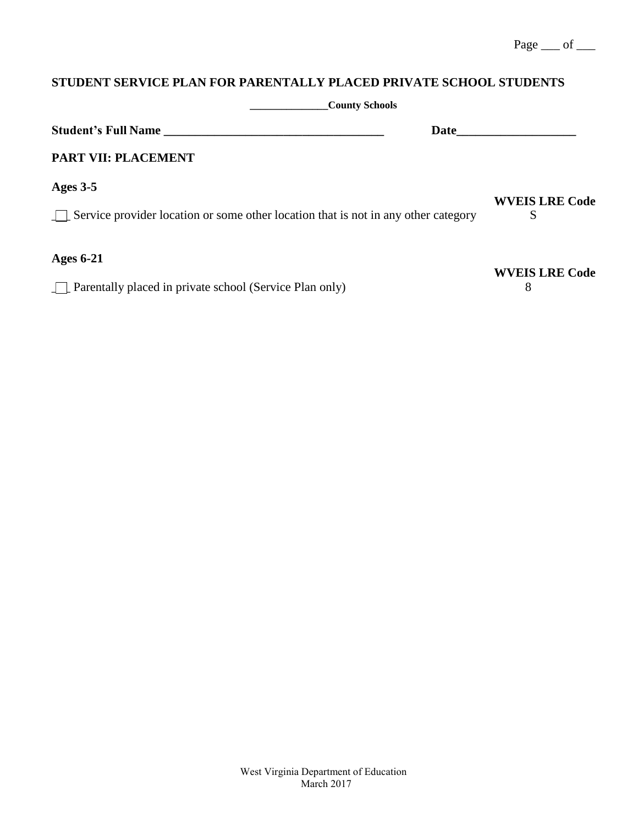| <b>County Schools</b>                                                                            |                            |
|--------------------------------------------------------------------------------------------------|----------------------------|
| <b>Student's Full Name</b><br>Date                                                               |                            |
| PART VII: PLACEMENT                                                                              |                            |
| Ages $3-5$<br>Service provider location or some other location that is not in any other category | <b>WVEIS LRE Code</b><br>S |
| <b>Ages 6-21</b><br>$\Box$ Parentally placed in private school (Service Plan only)               | <b>WVEIS LRE Code</b><br>8 |